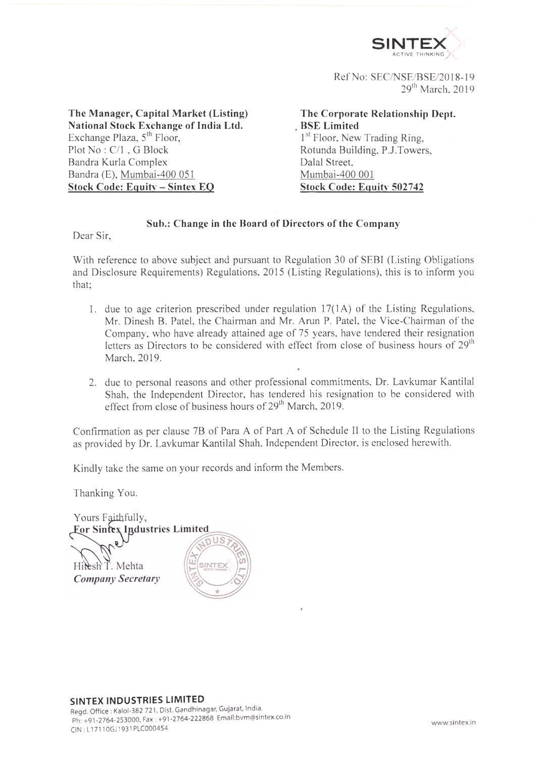

Ref No: SEC/NSE/BSE/2018-19  $29<sup>th</sup>$  March. 2019

**The Manager, Capital Market (Listing) National Stock Exchange of India Ltd.** Exchange Plaza, 5<sup>th</sup> Floor, Plot No : C/l . G Block Bandra Kurla Complex Bandra (E), Mumbai-400 051 **Stock Code: Equity - Sintex EQ**

**, BSE Limited** 1<sup>st</sup> Floor, New Trading Ring, **The Corporate Relationship Dept.** Rotunda Building. P.J.Towers Dalai Street. Mumbai-400 001 **Stock Code: Equity' 502742**

## **Sub.: Change in the Board of Directors of the Company**

Dear Sir,

With reference to above subject and pursuant to Regulation 30 of SEBI (Listing Obligations and Disclosure Requirements) Regulations. 2015 (Listing Regulations), this is to inform you that;

- 1. due to age criterion prescribed under regulation 17(1 A) of the Listing Regulations, Mr. Dinesh B. Patel, the Chairman and Mr. Arun P. Patel, the Vice-Chairman of the Company, who have already attained age of 75 years, have tendered their resignation letters as Directors to be considered with effect from close of business hours of 29<sup>th</sup> March. 2019.
- 2. due to personal reasons and other professional commitments, Dr. Lavkumar Kantilal Shah, the Independent Director, has tendered his resignation to be considered with effect from close of business hours of  $29<sup>th</sup>$  March, 2019.

*»*

Confirmation as per clause 7B of Para A of Part A of Schedule II to the Listing Regulations as provided by Dr. Lavkumar Kantilal Shah. Independent Director, is enclosed herewith.

Kindly take the same on your records and inform the Members.

Thanking You.

Yours Faithfully, For Sintex Industries Limited

Hilesh T. Mehta **Company Secretary**